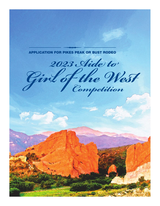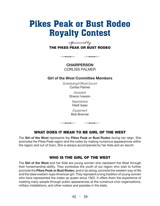## Pikes Peak or Bust Rodeo Royalty Contest

*Sponsored by* THE PIKES PEAK OR BUST RODEO

> **CHAIRPERSON** CORLISS PALMER

#### Girl of the West Committee Members

*Scheduling/Official Escort*  Corliss Palmer

> *Assistant* Sharon Iverson

> > *Seamstress* Heidi Isaac

*Equipment* Bob Brenner

#### WHAT DOES IT MEAN TO BE GIRL OF THE WEST

The Girl of the West represents the Pikes Peak or Bust Rodeo during her reign. She promotes the Pikes Peak region and the rodeo by making numerous appearances within the region and out of town. She is always accompanied by her Aide and an escort.

#### WHO IS THE GIRL OF THE WEST

The Girl of the West and her Aide are young women who represent the West through their horsemanship ability. They symbolize the youth of our region who wish to further promote the Pikes Peak or Bust Rodeo, and in so doing, promote the western way of life and the ideal western-type American girl. They represent a long tradition of young women who have represented the rodeo as queen since 1922. It offers them the experience of meeting many people through public appearances at the numerous civic organizations, military installations, and other rodeos and parades in the state.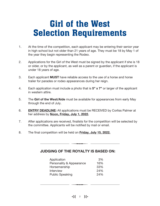# Girl of the West Selection Requirements

- 1. At the time of the competition, each applicant may be entering their senior year in high school but not older than 21 years of age. They must be 18 by May 1 of the year they begin representing the Rodeo.
- 2. Applications for the Girl of the West must be signed by the applicant if she is 18 or older, or by the applicant, as well as a parent or guardian, if the applicant is under 18 years of age.
- 3. Each applicant **MUST** have reliable access to the use of a horse and horse trailer for parades or rodeo appearances during her reign.
- 4. Each application must include a photo that is  $5" \times 7"$  or larger of the applicant in western attire.
- 5. The Girl of the West/Aide must be available for appearances from early May through the end of July.
- 6. **ENTRY DEADLINE:** All applications must be RECEIVED by Corliss Palmer at her address by Noon, Friday, July 1, 2022.
- 7. After applications are received, finalists for the competition will be selected by the committee. Applicants will be notified by mail or email.
- 8. The final competition will be held on Friday, July 15, 2022.

#### JUDGING OF THE ROYALTY IS BASED ON:

| Application              | 3%  |
|--------------------------|-----|
| Personality & Appearance | 16% |
| Horsemanship             | 33% |
| Interview                | 24% |
| <b>Public Speaking</b>   | 24% |

 $\frac{1}{2}$  2  $\frac{12}{2}$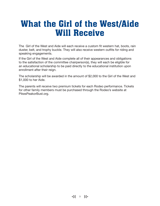## What the Girl of the West/Aide Will Receive

The Girl of the West and Aide will each receive a custom fit western hat, boots, rain duster, belt, and trophy buckle. They will also receive western outfits for riding and speaking engagements.

If the Girl of the West and Aide complete all of their appearances and obligations to the satisfaction of the committee chairperson(s), they will each be eligible for an educational scholarship to be paid directly to the educational institution upon enrollment after their reign.

The scholarship will be awarded in the amount of \$2,000 to the Girl of the West and \$1,000 to her Aide.

The parents will receive two premium tickets for each Rodeo performance. Tickets for other family members must be purchased through the Rodeo's website at PikesPeakorBust.org.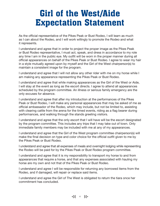## Girl of the West/Aide Expectation Statement

As the official representative of the Pikes Peak or Bust Rodeo, I will learn as much as I can about the Rodeo, and I will work willingly to promote the Rodeo and what it represents.

I understand and agree that in order to project the proper image as the Pikes Peak or Bust Rodeo representative, I must act, speak, and dress in accordance to my role any time I am in the public eye. My outfit will be worn in the proper manner during all official appearances on behalf of the Pikes Peak or Bust Rodeo. I agree to wear my hair in a style mutually agreed upon by myself and the Girl of the West chairperson(s) to maintain a consistent image for the program.

I understand and agree that I will not allow any other rider with me on my horse while I am making any appearance representing the Pikes Peak or Bust Rodeo.

I understand and agree that while making appearances as the Girl of the West or Aide, I will stay at the event as long as the escort directs. I agree to attend all appearances scheduled by the program committee. An illness or serious family emergency are the only excuses for absence.

I understand and agree that after my introduction at the performances of the Pikes Peak or Bust Rodeo, I will make any personal appearances that may be asked of me as official ambassador of the Rodeo, which may include, but not be limited to, assisting with clearing cattle from the arena for the timed events, riding as a flag bearer during performances, and walking through the stands greeting visitors.

I understand and agree that the only escort that I will have will be the escort designated by the program committee. This includes any trips that I may take out of town. Only immediate family members may be included with me at any of my appearances.

I understand and agree that the Girl of the West program committee chairperson(s) will make the final decision on type and color choice for the official outfit given to me by the Pikes Peak or Bust Rodeo.

I understand and agree that all expenses of meals and overnight lodging while representing the Rodeo will be paid for by the Pikes Peak or Bust Rodeo program committee.

I understand and agree that it is my responsibility to transport my horse to and from appearances that require a horse, and that any expenses associated with hauling my horse are my own and not that of the Pikes Peak or Bust Rodeo.

I understand and agree I will be responsible for returning any borrowed items from the Rodeo, and if damaged, will repair or replace said items.

I understand and agree the Girl of The West is obligated to return the tiara once her commitment has concluded.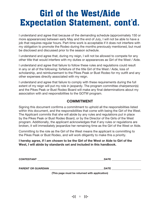# Girl of the West/Aide Expectation Statement, cont'd.

I understand and agree that because of the demanding schedule (approximately 150 or more appearances) between early May and the end of July, I will not be able to have a job that requires regular hours. Part-time work is acceptable if it does not interfere with my obligation to promote the Rodeo during the months previously mentioned, but must be disclosed and discussed prior to the season schedule.

I understand and agree that, during my reign, I will not be allowed to compete for any other title that would interfere with my duties or appearances as Girl of the West / Aide.

I understand and agree that failure to follow these rules and regulations could result in any or all of the following: forfeiture of the title Girl of the West / Aide, loss of scholarship, and reimbursement to the Pikes Peak or Bust Rodeo for my outfit and any other expenses directly associated with my reign.

I understand and agree that failure to comply with these requirements during the full extent of my reign will put my role in jeopardy. The program committee chairperson(s) and the Pikes Peak or Bust Rodeo Board will make any final determinations about my association with and responsibilities to the GOTW program.

#### COMMITMENT

Signing this document confirms a commitment to uphold all the responsibilities listed within this document, and the responsibilities that come with being the Girl of the West. The Applicant commits that she will abide by any rules and regulations put in place by the Pikes Peak or Bust Rodeo Board, or by the Director of the Girls of the West program. Additionally, the applicant acknowledges that if any rules or regulations are broken, it will immediately jeopardize her remaining time as the Girl of the West or Aide.

Committing to the role as the Girl of the West means the applicant is committing to the Pikes Peak or Bust Rodeo, and will work diligently to make this a priority.

#### I hereby agree, if I am chosen to be the Girl of the West or Aide to Girl of the West, I will abide by standards set and included in this handbook.

| <b>CONTESTANT</b>         | <b>DATE</b>                                   |
|---------------------------|-----------------------------------------------|
| <b>PARENT OR GUARDIAN</b> | <b>DATE</b>                                   |
|                           | (This page must be returned with application) |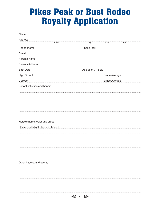# Pikes Peak or Bust Rodeo Royalty Application

| Name                                |        |                                |                      |               |     |  |
|-------------------------------------|--------|--------------------------------|----------------------|---------------|-----|--|
| Address                             | Street |                                | City                 | State         | Zip |  |
| Phone (home)                        |        |                                | Phone (cell)         |               |     |  |
| E-mail                              |        |                                |                      |               |     |  |
| <b>Parents Name</b>                 |        |                                |                      |               |     |  |
| Parents Address                     |        |                                |                      |               |     |  |
| <b>Birth Date</b>                   |        |                                | Age as of 7-15-22    |               |     |  |
| <b>High School</b>                  |        |                                | <b>Grade Average</b> |               |     |  |
| College                             |        |                                |                      | Grade Average |     |  |
| School activities and honors        |        |                                |                      |               |     |  |
|                                     |        |                                |                      |               |     |  |
|                                     |        |                                |                      |               |     |  |
|                                     |        |                                |                      |               |     |  |
|                                     |        |                                |                      |               |     |  |
|                                     |        |                                |                      |               |     |  |
| Horse's name, color and breed       |        |                                |                      |               |     |  |
| Horse-related activities and honors |        |                                |                      |               |     |  |
|                                     |        |                                |                      |               |     |  |
|                                     |        |                                |                      |               |     |  |
|                                     |        |                                |                      |               |     |  |
|                                     |        |                                |                      |               |     |  |
|                                     |        |                                |                      |               |     |  |
|                                     |        |                                |                      |               |     |  |
| Other interest and talents          |        |                                |                      |               |     |  |
|                                     |        |                                |                      |               |     |  |
|                                     |        |                                |                      |               |     |  |
|                                     |        |                                |                      |               |     |  |
|                                     |        |                                |                      |               |     |  |
|                                     |        |                                |                      |               |     |  |
|                                     |        | $\frac{1}{2}$ 6 $\frac{13}{2}$ |                      |               |     |  |